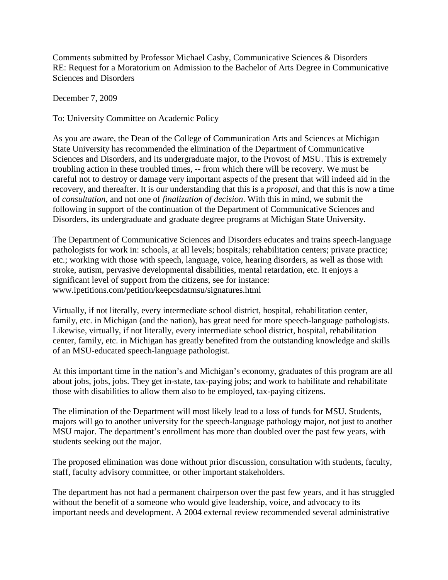Comments submitted by Professor Michael Casby, Communicative Sciences & Disorders RE: Request for a Moratorium on Admission to the Bachelor of Arts Degree in Communicative Sciences and Disorders

December 7, 2009

To: University Committee on Academic Policy

As you are aware, the Dean of the College of Communication Arts and Sciences at Michigan State University has recommended the elimination of the Department of Communicative Sciences and Disorders, and its undergraduate major, to the Provost of MSU. This is extremely troubling action in these troubled times, -- from which there will be recovery. We must be careful not to destroy or damage very important aspects of the present that will indeed aid in the recovery, and thereafter. It is our understanding that this is a *proposal*, and that this is now a time of *consultation*, and not one of *finalization of decision*. With this in mind, we submit the following in support of the continuation of the Department of Communicative Sciences and Disorders, its undergraduate and graduate degree programs at Michigan State University.

The Department of Communicative Sciences and Disorders educates and trains speech-language pathologists for work in: schools, at all levels; hospitals; rehabilitation centers; private practice; etc.; working with those with speech, language, voice, hearing disorders, as well as those with stroke, autism, pervasive developmental disabilities, mental retardation, etc. It enjoys a significant level of support from the citizens, see for instance: www.ipetitions.com/petition/keepcsdatmsu/signatures.html

Virtually, if not literally, every intermediate school district, hospital, rehabilitation center, family, etc. in Michigan (and the nation), has great need for more speech-language pathologists. Likewise, virtually, if not literally, every intermediate school district, hospital, rehabilitation center, family, etc. in Michigan has greatly benefited from the outstanding knowledge and skills of an MSU-educated speech-language pathologist.

At this important time in the nation's and Michigan's economy, graduates of this program are all about jobs, jobs, jobs. They get in-state, tax-paying jobs; and work to habilitate and rehabilitate those with disabilities to allow them also to be employed, tax-paying citizens.

The elimination of the Department will most likely lead to a loss of funds for MSU. Students, majors will go to another university for the speech-language pathology major, not just to another MSU major. The department's enrollment has more than doubled over the past few years, with students seeking out the major.

The proposed elimination was done without prior discussion, consultation with students, faculty, staff, faculty advisory committee, or other important stakeholders.

The department has not had a permanent chairperson over the past few years, and it has struggled without the benefit of a someone who would give leadership, voice, and advocacy to its important needs and development. A 2004 external review recommended several administrative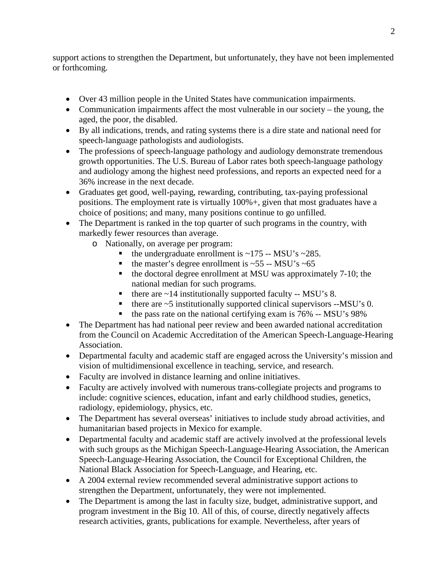support actions to strengthen the Department, but unfortunately, they have not been implemented or forthcoming.

- Over 43 million people in the United States have communication impairments.
- Communication impairments affect the most vulnerable in our society the young, the aged, the poor, the disabled.
- By all indications, trends, and rating systems there is a dire state and national need for speech-language pathologists and audiologists.
- The professions of speech-language pathology and audiology demonstrate tremendous growth opportunities. The U.S. Bureau of Labor rates both speech-language pathology and audiology among the highest need professions, and reports an expected need for a 36% increase in the next decade.
- Graduates get good, well-paying, rewarding, contributing, tax-paying professional positions. The employment rate is virtually 100%+, given that most graduates have a choice of positions; and many, many positions continue to go unfilled.
- The Department is ranked in the top quarter of such programs in the country, with markedly fewer resources than average.
	- o Nationally, on average per program:
		- the undergraduate enrollment is  $\sim$ 175 -- MSU's  $\sim$ 285.
		- the master's degree enrollment is  $\sim$  55 -- MSU's  $\sim$  65
		- $\blacksquare$  the doctoral degree enrollment at MSU was approximately 7-10; the national median for such programs.
		- $\blacksquare$  there are ~14 institutionally supported faculty -- MSU's 8.
		- there are  $\sim$  5 institutionally supported clinical supervisors  $-$ MSU's 0.
		- the pass rate on the national certifying exam is 76% -- MSU's 98%
- The Department has had national peer review and been awarded national accreditation from the Council on Academic Accreditation of the American Speech-Language-Hearing Association.
- Departmental faculty and academic staff are engaged across the University's mission and vision of multidimensional excellence in teaching, service, and research.
- Faculty are involved in distance learning and online initiatives.
- Faculty are actively involved with numerous trans-collegiate projects and programs to include: cognitive sciences, education, infant and early childhood studies, genetics, radiology, epidemiology, physics, etc.
- The Department has several overseas' initiatives to include study abroad activities, and humanitarian based projects in Mexico for example.
- Departmental faculty and academic staff are actively involved at the professional levels with such groups as the Michigan Speech-Language-Hearing Association, the American Speech-Language-Hearing Association, the Council for Exceptional Children, the National Black Association for Speech-Language, and Hearing, etc.
- A 2004 external review recommended several administrative support actions to strengthen the Department, unfortunately, they were not implemented.
- The Department is among the last in faculty size, budget, administrative support, and program investment in the Big 10. All of this, of course, directly negatively affects research activities, grants, publications for example. Nevertheless, after years of